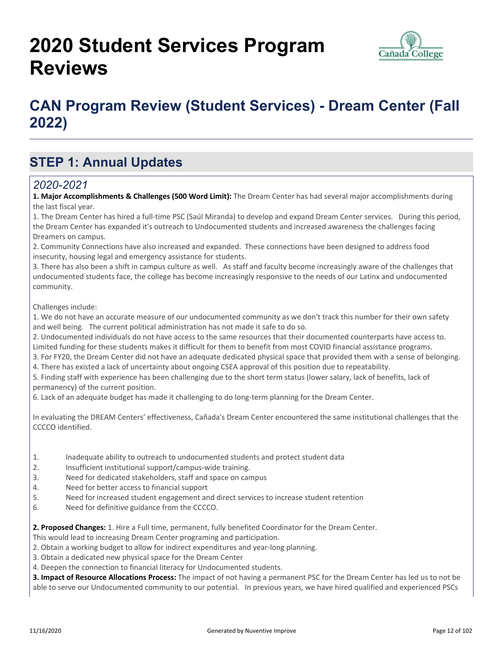# **2020 Student Services Program Reviews**



## **CAN Program Review (Student Services) - Dream Center (Fall 2022)**

### **STEP 1: Annual Updates**

#### *2020-2021*

**1. Major Accomplishments & Challenges (500 Word Limit):** The Dream Center has had several major accomplishments during the last fiscal year.

1. The Dream Center has hired a full-time PSC (Saúl Miranda) to develop and expand Dream Center services. During this period, the Dream Center has expanded it's outreach to Undocumented students and increased awareness the challenges facing Dreamers on campus.

2. Community Connections have also increased and expanded. These connections have been designed to address food insecurity, housing legal and emergency assistance for students.

3. There has also been a shift in campus culture as well. As staff and faculty become increasingly aware of the challenges that undocumented students face, the college has become increasingly responsive to the needs of our Latinx and undocumented community.

Challenges include:

1. We do not have an accurate measure of our undocumented community as we don't track this number for their own safety and well being. The current political administration has not made it safe to do so.

2. Undocumented individuals do not have access to the same resources that their documented counterparts have access to. Limited funding for these students makes it difficult for them to benefit from most COVID financial assistance programs.

3. For FY20, the Dream Center did not have an adequate dedicated physical space that provided them with a sense of belonging.

4. There has existed a lack of uncertainty about ongoing CSEA approval of this position due to repeatability.

5. Finding staff with experience has been challenging due to the short term status (lower salary, lack of benefits, lack of permanency) of the current position.

6. Lack of an adequate budget has made it challenging to do long-term planning for the Dream Center.

In evaluating the DREAM Centers' effectiveness, Cañada's Dream Center encountered the same institutional challenges that the CCCCO identified.

- 1. Inadequate ability to outreach to undocumented students and protect student data
- 2. Insufficient institutional support/campus-wide training.
- 3. Need for dedicated stakeholders, staff and space on campus
- 4. Need for better access to financial support
- 5. Need for increased student engagement and direct services to increase student retention
- 6. Need for definitive guidance from the CCCCO.

**2. Proposed Changes:** 1. Hire a Full time, permanent, fully benefited Coordinator for the Dream Center.

- This would lead to increasing Dream Center programing and participation.
- 2. Obtain a working budget to allow for indirect expenditures and year-long planning.
- 3. Obtain a dedicated new physical space for the Dream Center
- 4. Deepen the connection to financial literacy for Undocumented students.

**3. Impact of Resource Allocations Process:** The impact of not having a permanent PSC for the Dream Center has led us to not be able to serve our Undocumented community to our potential. In previous years, we have hired qualified and experienced PSCs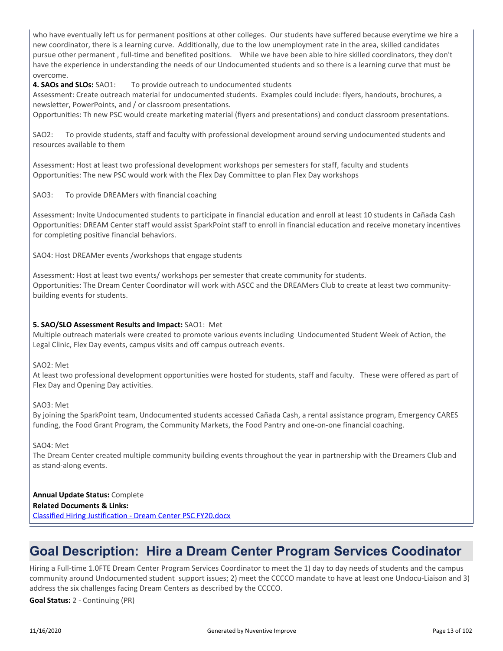who have eventually left us for permanent positions at other colleges. Our students have suffered because everytime we hire a new coordinator, there is a learning curve. Additionally, due to the low unemployment rate in the area, skilled candidates pursue other permanent , full-time and benefited positions. While we have been able to hire skilled coordinators, they don't have the experience in understanding the needs of our Undocumented students and so there is a learning curve that must be overcome.

**4. SAOs and SLOs:** SAO1: To provide outreach to undocumented students

Assessment: Create outreach material for undocumented students. Examples could include: flyers, handouts, brochures, a newsletter, PowerPoints, and / or classroom presentations.

Opportunities: Th new PSC would create marketing material (flyers and presentations) and conduct classroom presentations.

SAO2: To provide students, staff and faculty with professional development around serving undocumented students and resources available to them

Assessment: Host at least two professional development workshops per semesters for staff, faculty and students Opportunities: The new PSC would work with the Flex Day Committee to plan Flex Day workshops

SAO3: To provide DREAMers with financial coaching

Assessment: Invite Undocumented students to participate in financial education and enroll at least 10 students in Cañada Cash Opportunities: DREAM Center staff would assist SparkPoint staff to enroll in financial education and receive monetary incentives for completing positive financial behaviors.

SAO4: Host DREAMer events /workshops that engage students

Assessment: Host at least two events/ workshops per semester that create community for students. Opportunities: The Dream Center Coordinator will work with ASCC and the DREAMers Club to create at least two communitybuilding events for students.

#### **5. SAO/SLO Assessment Results and Impact:** SAO1: Met

Multiple outreach materials were created to promote various events including Undocumented Student Week of Action, the Legal Clinic, Flex Day events, campus visits and off campus outreach events.

SAO2: Met

At least two professional development opportunities were hosted for students, staff and faculty. These were offered as part of Flex Day and Opening Day activities.

SAO3: Met

By joining the SparkPoint team, Undocumented students accessed Cañada Cash, a rental assistance program, Emergency CARES funding, the Food Grant Program, the Community Markets, the Food Pantry and one-on-one financial coaching.

SAO4: Met

The Dream Center created multiple community building events throughout the year in partnership with the Dreamers Club and as stand-along events.

#### **Annual Update Status:** Complete

**Related Documents & Links:**

[Classified Hiring Justification - Dream Center PSC FY20.docx](https://sanmateo.improve.nuventive.com:443/tracdat/viewDocument?y=2BT6HLFgOORd)

### **Goal Description: Hire a Dream Center Program Services Coodinator**

Hiring a Full-time 1.0FTE Dream Center Program Services Coordinator to meet the 1) day to day needs of students and the campus community around Undocumented student support issues; 2) meet the CCCCO mandate to have at least one Undocu-Liaison and 3) address the six challenges facing Dream Centers as described by the CCCCO.

**Goal Status:** 2 - Continuing (PR)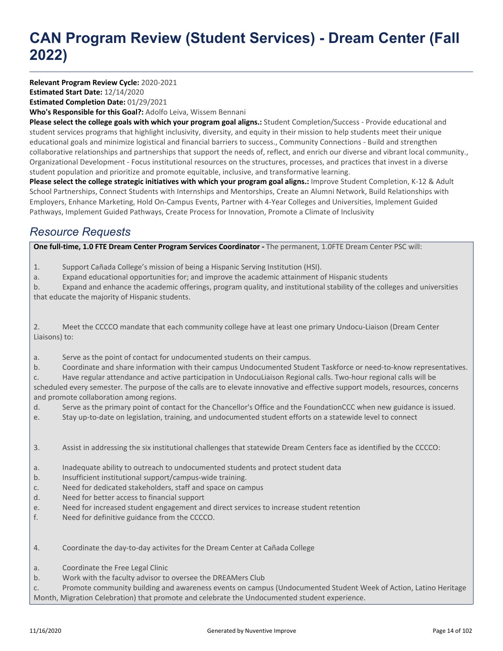# **CAN Program Review (Student Services) - Dream Center (Fall 2022)**

**Relevant Program Review Cycle:** 2020-2021

**Estimated Start Date:** 12/14/2020

**Estimated Completion Date:** 01/29/2021

**Who's Responsible for this Goal?:** Adolfo Leiva, Wissem Bennani

**Please select the college goals with which your program goal aligns.:** Student Completion/Success - Provide educational and student services programs that highlight inclusivity, diversity, and equity in their mission to help students meet their unique educational goals and minimize logistical and financial barriers to success., Community Connections - Build and strengthen collaborative relationships and partnerships that support the needs of, reflect, and enrich our diverse and vibrant local community., Organizational Development - Focus institutional resources on the structures, processes, and practices that invest in a diverse student population and prioritize and promote equitable, inclusive, and transformative learning.

**Please select the college strategic initiatives with which your program goal aligns.:** Improve Student Completion, K-12 & Adult School Partnerships, Connect Students with Internships and Mentorships, Create an Alumni Network, Build Relationships with Employers, Enhance Marketing, Hold On-Campus Events, Partner with 4-Year Colleges and Universities, Implement Guided Pathways, Implement Guided Pathways, Create Process for Innovation, Promote a Climate of Inclusivity

### *Resource Requests*

**One full-time, 1.0 FTE Dream Center Program Services Coordinator -** The permanent, 1.0FTE Dream Center PSC will:

1. Support Cañada College's mission of being a Hispanic Serving Institution (HSI).

a. Expand educational opportunities for; and improve the academic attainment of Hispanic students

b. Expand and enhance the academic offerings, program quality, and institutional stability of the colleges and universities that educate the majority of Hispanic students.

2. Meet the CCCCO mandate that each community college have at least one primary Undocu-Liaison (Dream Center Liaisons) to:

- a. Serve as the point of contact for undocumented students on their campus.
- b. Coordinate and share information with their campus Undocumented Student Taskforce or need-to-know representatives.
- c. Have regular attendance and active participation in UndocuLiaison Regional calls. Two-hour regional calls will be

scheduled every semester. The purpose of the calls are to elevate innovative and effective support models, resources, concerns and promote collaboration among regions.

- d. Serve as the primary point of contact for the Chancellor's Office and the FoundationCCC when new guidance is issued.
- e. Stay up-to-date on legislation, training, and undocumented student efforts on a statewide level to connect
- 3. Assist in addressing the six institutional challenges that statewide Dream Centers face as identified by the CCCCO:
- a. Inadequate ability to outreach to undocumented students and protect student data
- b. Insufficient institutional support/campus-wide training.
- c. Need for dedicated stakeholders, staff and space on campus
- d. Need for better access to financial support
- e. Need for increased student engagement and direct services to increase student retention
- f. Need for definitive guidance from the CCCCO.
- 4. Coordinate the day-to-day activites for the Dream Center at Cañada College
- a. Coordinate the Free Legal Clinic
- b. Work with the faculty advisor to oversee the DREAMers Club

c. Promote community building and awareness events on campus (Undocumented Student Week of Action, Latino Heritage Month, Migration Celebration) that promote and celebrate the Undocumented student experience.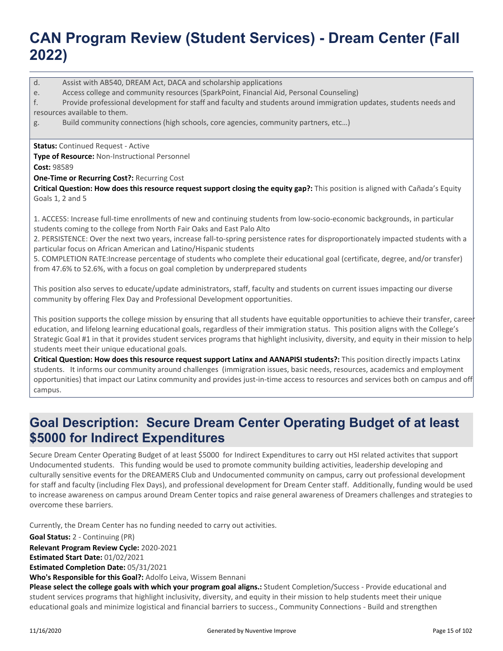## **CAN Program Review (Student Services) - Dream Center (Fall 2022)**

d. Assist with AB540, DREAM Act, DACA and scholarship applications

e. Access college and community resources (SparkPoint, Financial Aid, Personal Counseling)

f. Provide professional development for staff and faculty and students around immigration updates, students needs and resources available to them.

g. Build community connections (high schools, core agencies, community partners, etc…)

**Status:** Continued Request - Active

**Type of Resource:** Non-Instructional Personnel

**Cost:** 98589

**One-Time or Recurring Cost?:** Recurring Cost

**Critical Question: How does this resource request support closing the equity gap?:** This position is aligned with Cañada's Equity Goals 1, 2 and 5

1. ACCESS: Increase full-time enrollments of new and continuing students from low-socio-economic backgrounds, in particular students coming to the college from North Fair Oaks and East Palo Alto

2. PERSISTENCE: Over the next two years, increase fall-to-spring persistence rates for disproportionately impacted students with a particular focus on African American and Latino/Hispanic students

5. COMPLETION RATE:Increase percentage of students who complete their educational goal (certificate, degree, and/or transfer) from 47.6% to 52.6%, with a focus on goal completion by underprepared students

This position also serves to educate/update administrators, staff, faculty and students on current issues impacting our diverse community by offering Flex Day and Professional Development opportunities.

This position supports the college mission by ensuring that all students have equitable opportunities to achieve their transfer, career education, and lifelong learning educational goals, regardless of their immigration status. This position aligns with the College's Strategic Goal #1 in that it provides student services programs that highlight inclusivity, diversity, and equity in their mission to help students meet their unique educational goals.

**Critical Question: How does this resource request support Latinx and AANAPISI students?:** This position directly impacts Latinx students. It informs our community around challenges (immigration issues, basic needs, resources, academics and employment opportunities) that impact our Latinx community and provides just-in-time access to resources and services both on campus and off campus.

### **Goal Description: Secure Dream Center Operating Budget of at least \$5000 for Indirect Expenditures**

Secure Dream Center Operating Budget of at least \$5000 for Indirect Expenditures to carry out HSI related activites that support Undocumented students. This funding would be used to promote community building activities, leadership developing and culturally sensitive events for the DREAMERS Club and Undocumented community on campus, carry out professional development for staff and faculty (including Flex Days), and professional development for Dream Center staff. Additionally, funding would be used to increase awareness on campus around Dream Center topics and raise general awareness of Dreamers challenges and strategies to overcome these barriers.

Currently, the Dream Center has no funding needed to carry out activities.

**Goal Status:** 2 - Continuing (PR)

**Relevant Program Review Cycle:** 2020-2021

**Estimated Start Date:** 01/02/2021

**Estimated Completion Date:** 05/31/2021

**Who's Responsible for this Goal?:** Adolfo Leiva, Wissem Bennani

**Please select the college goals with which your program goal aligns.:** Student Completion/Success - Provide educational and student services programs that highlight inclusivity, diversity, and equity in their mission to help students meet their unique educational goals and minimize logistical and financial barriers to success., Community Connections - Build and strengthen